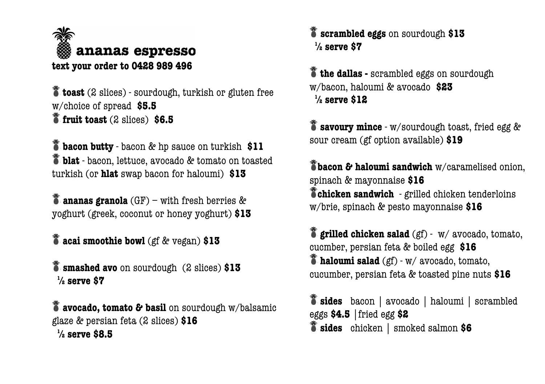

 $\delta$  **toast** (2 slices) - sourdough, turkish or gluten free w/choice of spread **\$5.5 fruit toast** (2 slices) **\$6.5**

 $\delta$  **bacon butty** - bacon & hp sauce on turkish \$11 **blat** - bacon, lettuce, avocado & tomato on toasted turkish (or **hlat** swap bacon for haloumi) **\$13**

**ananas granola** (GF) – with fresh berries & yoghurt (greek, coconut or honey yoghurt) **\$13**

**acai smoothie bowl** (gf & vegan) **\$13**

**smashed avo** on sourdough (2 slices) **\$13 ½ serve \$7**

**avocado, tomato & basil** on sourdough w/balsamic glaze & persian feta (2 slices) **\$16 ½ serve \$8.5**

**scrambled eggs** on sourdough **\$13 ½ serve \$7**

 $\stackrel{\text{\textbf{*}}}{\text{\textbf{the}}}\text{dallas -scrambled eggs on soundough}$ w/bacon, haloumi & avocado **\$23 ½ serve \$12**

**savoury mince** - w/sourdough toast, fried egg & sour cream (gf option available) **\$19**

**bacon & haloumi sandwich** w/caramelised onion, spinach & mayonnaise **\$16 chicken sandwich** - grilled chicken tenderloins w/brie, spinach & pesto mayonnaise **\$16**

**grilled chicken salad** (gf) - w/ avocado, tomato, cucmber, persian feta & boiled egg **\$16 haloumi salad** (gf) - w/ avocado, tomato, cucumber, persian feta & toasted pine nuts **\$16**

**sides** bacon | avocado | haloumi | scrambled eggs **\$4.5** |fried egg **\$2 sides** chicken | smoked salmon **\$6**